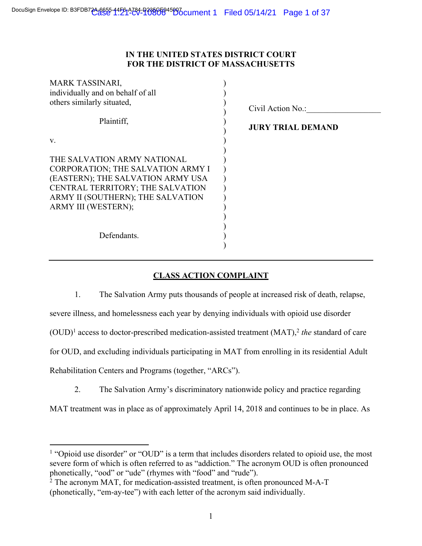# **IN THE UNITED STATES DISTRICT COURT FOR THE DISTRICT OF MASSACHUSETTS**

| <b>MARK TASSINARI,</b><br>individually and on behalf of all<br>others similarly situated,<br>Plaintiff,                                                                                               | Civil Action No.:<br><b>JURY TRIAL DEMAND</b> |
|-------------------------------------------------------------------------------------------------------------------------------------------------------------------------------------------------------|-----------------------------------------------|
| V.                                                                                                                                                                                                    |                                               |
| THE SALVATION ARMY NATIONAL<br>CORPORATION; THE SALVATION ARMY I<br>(EASTERN); THE SALVATION ARMY USA<br>CENTRAL TERRITORY; THE SALVATION<br>ARMY II (SOUTHERN); THE SALVATION<br>ARMY III (WESTERN); |                                               |
| Defendants.                                                                                                                                                                                           |                                               |

# **CLASS ACTION COMPLAINT**

1. The Salvation Army puts thousands of people at increased risk of death, relapse, severe illness, and homelessness each year by denying individuals with opioid use disorder  $(OUD)^1$  access to doctor-prescribed medication-assisted treatment  $(MAT)$ , *the* standard of care for OUD, and excluding individuals participating in MAT from enrolling in its residential Adult Rehabilitation Centers and Programs (together, "ARCs").

2. The Salvation Army's discriminatory nationwide policy and practice regarding

MAT treatment was in place as of approximately April 14, 2018 and continues to be in place. As

<sup>1</sup> "Opioid use disorder" or "OUD" is a term that includes disorders related to opioid use, the most severe form of which is often referred to as "addiction." The acronym OUD is often pronounced phonetically, "ood" or "ude" (rhymes with "food" and "rude").

 $2$  The acronym MAT, for medication-assisted treatment, is often pronounced M-A-T (phonetically, "em-ay-tee") with each letter of the acronym said individually.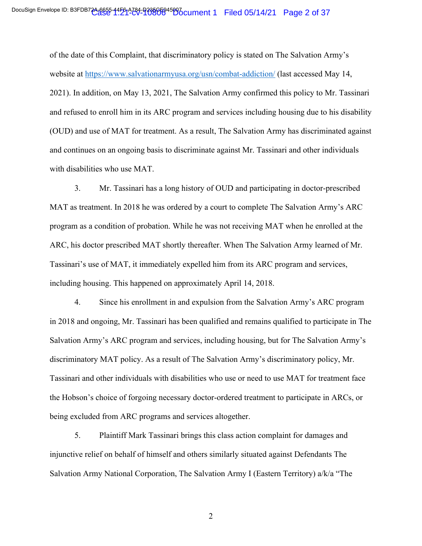of the date of this Complaint, that discriminatory policy is stated on The Salvation Army's website at https://www.salvationarmyusa.org/usn/combat-addiction/ (last accessed May 14, 2021). In addition, on May 13, 2021, The Salvation Army confirmed this policy to Mr. Tassinari and refused to enroll him in its ARC program and services including housing due to his disability (OUD) and use of MAT for treatment. As a result, The Salvation Army has discriminated against and continues on an ongoing basis to discriminate against Mr. Tassinari and other individuals with disabilities who use MAT.

3. Mr. Tassinari has a long history of OUD and participating in doctor-prescribed MAT as treatment. In 2018 he was ordered by a court to complete The Salvation Army's ARC program as a condition of probation. While he was not receiving MAT when he enrolled at the ARC, his doctor prescribed MAT shortly thereafter. When The Salvation Army learned of Mr. Tassinari's use of MAT, it immediately expelled him from its ARC program and services, including housing. This happened on approximately April 14, 2018.

4. Since his enrollment in and expulsion from the Salvation Army's ARC program in 2018 and ongoing, Mr. Tassinari has been qualified and remains qualified to participate in The Salvation Army's ARC program and services, including housing, but for The Salvation Army's discriminatory MAT policy. As a result of The Salvation Army's discriminatory policy, Mr. Tassinari and other individuals with disabilities who use or need to use MAT for treatment face the Hobson's choice of forgoing necessary doctor-ordered treatment to participate in ARCs, or being excluded from ARC programs and services altogether.

5. Plaintiff Mark Tassinari brings this class action complaint for damages and injunctive relief on behalf of himself and others similarly situated against Defendants The Salvation Army National Corporation, The Salvation Army I (Eastern Territory) a/k/a "The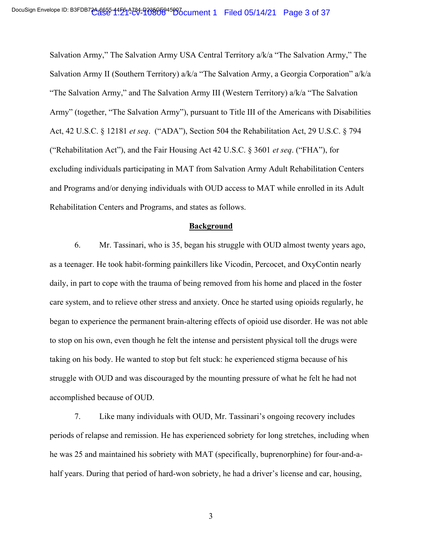Salvation Army," The Salvation Army USA Central Territory a/k/a "The Salvation Army," The Salvation Army II (Southern Territory) a/k/a "The Salvation Army, a Georgia Corporation" a/k/a "The Salvation Army," and The Salvation Army III (Western Territory) a/k/a "The Salvation Army" (together, "The Salvation Army"), pursuant to Title III of the Americans with Disabilities Act, 42 U.S.C. § 12181 *et seq*. ("ADA"), Section 504 the Rehabilitation Act, 29 U.S.C. § 794 ("Rehabilitation Act"), and the Fair Housing Act 42 U.S.C. § 3601 *et seq*. ("FHA"), for excluding individuals participating in MAT from Salvation Army Adult Rehabilitation Centers and Programs and/or denying individuals with OUD access to MAT while enrolled in its Adult Rehabilitation Centers and Programs, and states as follows.

#### **Background**

6. Mr. Tassinari, who is 35, began his struggle with OUD almost twenty years ago, as a teenager. He took habit-forming painkillers like Vicodin, Percocet, and OxyContin nearly daily, in part to cope with the trauma of being removed from his home and placed in the foster care system, and to relieve other stress and anxiety. Once he started using opioids regularly, he began to experience the permanent brain-altering effects of opioid use disorder. He was not able to stop on his own, even though he felt the intense and persistent physical toll the drugs were taking on his body. He wanted to stop but felt stuck: he experienced stigma because of his struggle with OUD and was discouraged by the mounting pressure of what he felt he had not accomplished because of OUD.

7. Like many individuals with OUD, Mr. Tassinari's ongoing recovery includes periods of relapse and remission. He has experienced sobriety for long stretches, including when he was 25 and maintained his sobriety with MAT (specifically, buprenorphine) for four-and-ahalf years. During that period of hard-won sobriety, he had a driver's license and car, housing,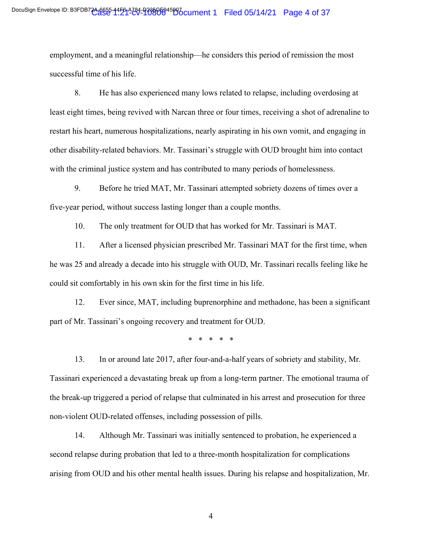employment, and a meaningful relationship—he considers this period of remission the most successful time of his life.

8. He has also experienced many lows related to relapse, including overdosing at least eight times, being revived with Narcan three or four times, receiving a shot of adrenaline to restart his heart, numerous hospitalizations, nearly aspirating in his own vomit, and engaging in other disability-related behaviors. Mr. Tassinari's struggle with OUD brought him into contact with the criminal justice system and has contributed to many periods of homelessness.

9. Before he tried MAT, Mr. Tassinari attempted sobriety dozens of times over a five-year period, without success lasting longer than a couple months.

10. The only treatment for OUD that has worked for Mr. Tassinari is MAT.

11. After a licensed physician prescribed Mr. Tassinari MAT for the first time, when he was 25 and already a decade into his struggle with OUD, Mr. Tassinari recalls feeling like he could sit comfortably in his own skin for the first time in his life.

12. Ever since, MAT, including buprenorphine and methadone, has been a significant part of Mr. Tassinari's ongoing recovery and treatment for OUD.

\* \* \* \* \*

13. In or around late 2017, after four-and-a-half years of sobriety and stability, Mr. Tassinari experienced a devastating break up from a long-term partner. The emotional trauma of the break-up triggered a period of relapse that culminated in his arrest and prosecution for three non-violent OUD-related offenses, including possession of pills.

14. Although Mr. Tassinari was initially sentenced to probation, he experienced a second relapse during probation that led to a three-month hospitalization for complications arising from OUD and his other mental health issues. During his relapse and hospitalization, Mr.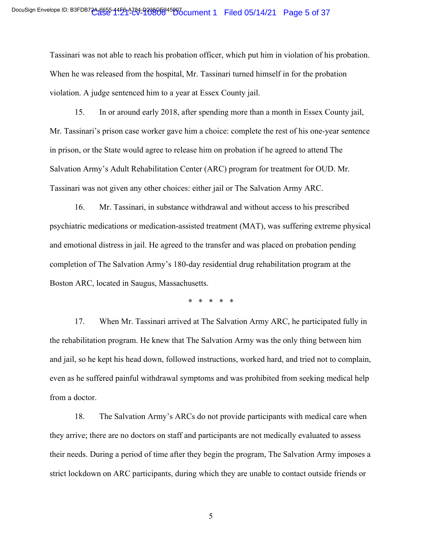Tassinari was not able to reach his probation officer, which put him in violation of his probation. When he was released from the hospital, Mr. Tassinari turned himself in for the probation violation. A judge sentenced him to a year at Essex County jail.

15. In or around early 2018, after spending more than a month in Essex County jail, Mr. Tassinari's prison case worker gave him a choice: complete the rest of his one-year sentence in prison, or the State would agree to release him on probation if he agreed to attend The Salvation Army's Adult Rehabilitation Center (ARC) program for treatment for OUD. Mr. Tassinari was not given any other choices: either jail or The Salvation Army ARC.

16. Mr. Tassinari, in substance withdrawal and without access to his prescribed psychiatric medications or medication-assisted treatment (MAT), was suffering extreme physical and emotional distress in jail. He agreed to the transfer and was placed on probation pending completion of The Salvation Army's 180-day residential drug rehabilitation program at the Boston ARC, located in Saugus, Massachusetts.

\* \* \* \* \*

17. When Mr. Tassinari arrived at The Salvation Army ARC, he participated fully in the rehabilitation program. He knew that The Salvation Army was the only thing between him and jail, so he kept his head down, followed instructions, worked hard, and tried not to complain, even as he suffered painful withdrawal symptoms and was prohibited from seeking medical help from a doctor.

18. The Salvation Army's ARCs do not provide participants with medical care when they arrive; there are no doctors on staff and participants are not medically evaluated to assess their needs. During a period of time after they begin the program, The Salvation Army imposes a strict lockdown on ARC participants, during which they are unable to contact outside friends or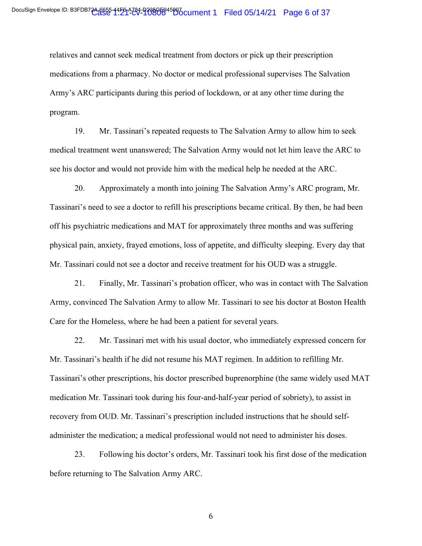relatives and cannot seek medical treatment from doctors or pick up their prescription medications from a pharmacy. No doctor or medical professional supervises The Salvation Army's ARC participants during this period of lockdown, or at any other time during the program.

19. Mr. Tassinari's repeated requests to The Salvation Army to allow him to seek medical treatment went unanswered; The Salvation Army would not let him leave the ARC to see his doctor and would not provide him with the medical help he needed at the ARC.

20. Approximately a month into joining The Salvation Army's ARC program, Mr. Tassinari's need to see a doctor to refill his prescriptions became critical. By then, he had been off his psychiatric medications and MAT for approximately three months and was suffering physical pain, anxiety, frayed emotions, loss of appetite, and difficulty sleeping. Every day that Mr. Tassinari could not see a doctor and receive treatment for his OUD was a struggle.

21. Finally, Mr. Tassinari's probation officer, who was in contact with The Salvation Army, convinced The Salvation Army to allow Mr. Tassinari to see his doctor at Boston Health Care for the Homeless, where he had been a patient for several years.

22. Mr. Tassinari met with his usual doctor, who immediately expressed concern for Mr. Tassinari's health if he did not resume his MAT regimen. In addition to refilling Mr. Tassinari's other prescriptions, his doctor prescribed buprenorphine (the same widely used MAT medication Mr. Tassinari took during his four-and-half-year period of sobriety), to assist in recovery from OUD. Mr. Tassinari's prescription included instructions that he should selfadminister the medication; a medical professional would not need to administer his doses.

23. Following his doctor's orders, Mr. Tassinari took his first dose of the medication before returning to The Salvation Army ARC.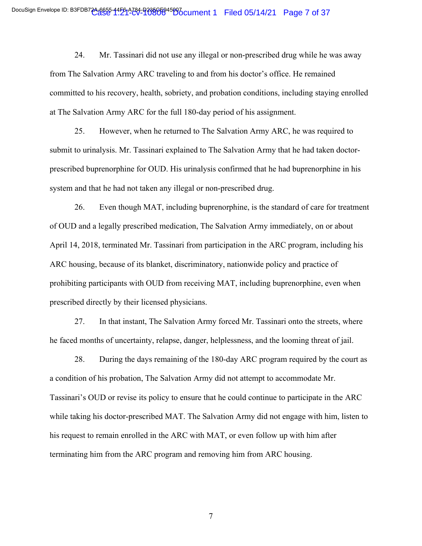24. Mr. Tassinari did not use any illegal or non-prescribed drug while he was away from The Salvation Army ARC traveling to and from his doctor's office. He remained committed to his recovery, health, sobriety, and probation conditions, including staying enrolled at The Salvation Army ARC for the full 180-day period of his assignment.

25. However, when he returned to The Salvation Army ARC, he was required to submit to urinalysis. Mr. Tassinari explained to The Salvation Army that he had taken doctorprescribed buprenorphine for OUD. His urinalysis confirmed that he had buprenorphine in his system and that he had not taken any illegal or non-prescribed drug.

26. Even though MAT, including buprenorphine, is the standard of care for treatment of OUD and a legally prescribed medication, The Salvation Army immediately, on or about April 14, 2018, terminated Mr. Tassinari from participation in the ARC program, including his ARC housing, because of its blanket, discriminatory, nationwide policy and practice of prohibiting participants with OUD from receiving MAT, including buprenorphine, even when prescribed directly by their licensed physicians.

27. In that instant, The Salvation Army forced Mr. Tassinari onto the streets, where he faced months of uncertainty, relapse, danger, helplessness, and the looming threat of jail.

28. During the days remaining of the 180-day ARC program required by the court as a condition of his probation, The Salvation Army did not attempt to accommodate Mr. Tassinari's OUD or revise its policy to ensure that he could continue to participate in the ARC while taking his doctor-prescribed MAT. The Salvation Army did not engage with him, listen to his request to remain enrolled in the ARC with MAT, or even follow up with him after terminating him from the ARC program and removing him from ARC housing.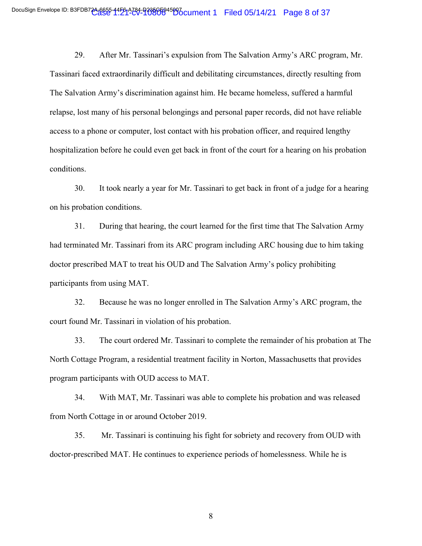29. After Mr. Tassinari's expulsion from The Salvation Army's ARC program, Mr. Tassinari faced extraordinarily difficult and debilitating circumstances, directly resulting from The Salvation Army's discrimination against him. He became homeless, suffered a harmful relapse, lost many of his personal belongings and personal paper records, did not have reliable access to a phone or computer, lost contact with his probation officer, and required lengthy hospitalization before he could even get back in front of the court for a hearing on his probation conditions.

30. It took nearly a year for Mr. Tassinari to get back in front of a judge for a hearing on his probation conditions.

31. During that hearing, the court learned for the first time that The Salvation Army had terminated Mr. Tassinari from its ARC program including ARC housing due to him taking doctor prescribed MAT to treat his OUD and The Salvation Army's policy prohibiting participants from using MAT.

32. Because he was no longer enrolled in The Salvation Army's ARC program, the court found Mr. Tassinari in violation of his probation.

33. The court ordered Mr. Tassinari to complete the remainder of his probation at The North Cottage Program, a residential treatment facility in Norton, Massachusetts that provides program participants with OUD access to MAT.

34. With MAT, Mr. Tassinari was able to complete his probation and was released from North Cottage in or around October 2019.

35. Mr. Tassinari is continuing his fight for sobriety and recovery from OUD with doctor-prescribed MAT. He continues to experience periods of homelessness. While he is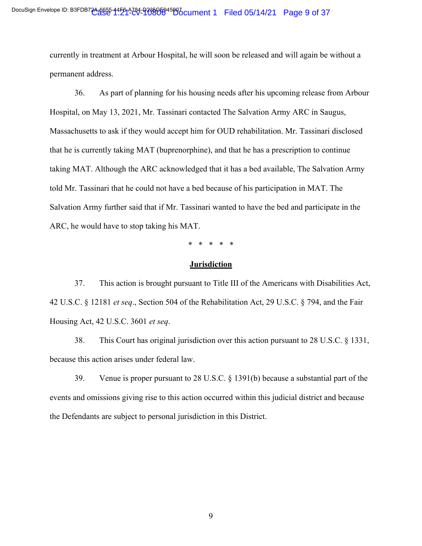currently in treatment at Arbour Hospital, he will soon be released and will again be without a permanent address.

36. As part of planning for his housing needs after his upcoming release from Arbour Hospital, on May 13, 2021, Mr. Tassinari contacted The Salvation Army ARC in Saugus, Massachusetts to ask if they would accept him for OUD rehabilitation. Mr. Tassinari disclosed that he is currently taking MAT (buprenorphine), and that he has a prescription to continue taking MAT. Although the ARC acknowledged that it has a bed available, The Salvation Army told Mr. Tassinari that he could not have a bed because of his participation in MAT. The Salvation Army further said that if Mr. Tassinari wanted to have the bed and participate in the ARC, he would have to stop taking his MAT.

\* \* \* \* \*

#### **Jurisdiction**

37. This action is brought pursuant to Title III of the Americans with Disabilities Act, 42 U.S.C. § 12181 *et seq*., Section 504 of the Rehabilitation Act, 29 U.S.C. § 794, and the Fair Housing Act, 42 U.S.C. 3601 *et seq*.

38. This Court has original jurisdiction over this action pursuant to 28 U.S.C. § 1331, because this action arises under federal law.

39. Venue is proper pursuant to 28 U.S.C. § 1391(b) because a substantial part of the events and omissions giving rise to this action occurred within this judicial district and because the Defendants are subject to personal jurisdiction in this District.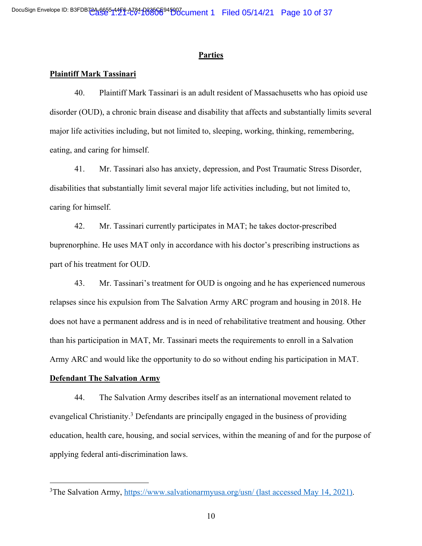#### **Parties**

#### **Plaintiff Mark Tassinari**

40. Plaintiff Mark Tassinari is an adult resident of Massachusetts who has opioid use disorder (OUD), a chronic brain disease and disability that affects and substantially limits several major life activities including, but not limited to, sleeping, working, thinking, remembering, eating, and caring for himself.

41. Mr. Tassinari also has anxiety, depression, and Post Traumatic Stress Disorder, disabilities that substantially limit several major life activities including, but not limited to, caring for himself.

42. Mr. Tassinari currently participates in MAT; he takes doctor-prescribed buprenorphine. He uses MAT only in accordance with his doctor's prescribing instructions as part of his treatment for OUD.

43. Mr. Tassinari's treatment for OUD is ongoing and he has experienced numerous relapses since his expulsion from The Salvation Army ARC program and housing in 2018. He does not have a permanent address and is in need of rehabilitative treatment and housing. Other than his participation in MAT, Mr. Tassinari meets the requirements to enroll in a Salvation Army ARC and would like the opportunity to do so without ending his participation in MAT.

#### **Defendant The Salvation Army**

44. The Salvation Army describes itself as an international movement related to evangelical Christianity.<sup>3</sup> Defendants are principally engaged in the business of providing education, health care, housing, and social services, within the meaning of and for the purpose of applying federal anti-discrimination laws.

<sup>3</sup>The Salvation Army, https://www.salvationarmyusa.org/usn/ (last accessed May 14, 2021).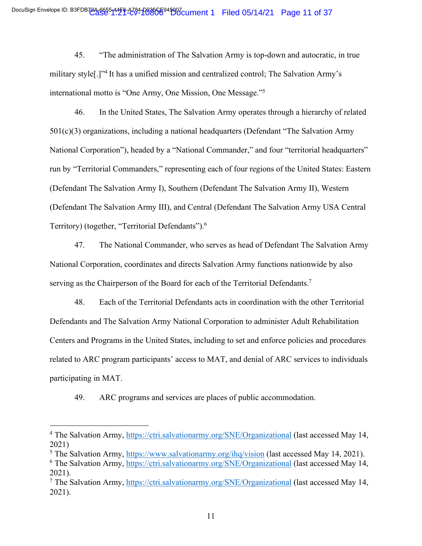45. "The administration of The Salvation Army is top-down and autocratic, in true military style[.]"4 It has a unified mission and centralized control; The Salvation Army's international motto is "One Army, One Mission, One Message."5

46. In the United States, The Salvation Army operates through a hierarchy of related 501(c)(3) organizations, including a national headquarters (Defendant "The Salvation Army National Corporation"), headed by a "National Commander," and four "territorial headquarters" run by "Territorial Commanders," representing each of four regions of the United States: Eastern (Defendant The Salvation Army I), Southern (Defendant The Salvation Army II), Western (Defendant The Salvation Army III), and Central (Defendant The Salvation Army USA Central Territory) (together, "Territorial Defendants").<sup>6</sup>

47. The National Commander, who serves as head of Defendant The Salvation Army National Corporation, coordinates and directs Salvation Army functions nationwide by also serving as the Chairperson of the Board for each of the Territorial Defendants.<sup>7</sup>

48. Each of the Territorial Defendants acts in coordination with the other Territorial Defendants and The Salvation Army National Corporation to administer Adult Rehabilitation Centers and Programs in the United States, including to set and enforce policies and procedures related to ARC program participants' access to MAT, and denial of ARC services to individuals participating in MAT.

49. ARC programs and services are places of public accommodation.

<sup>&</sup>lt;sup>4</sup> The Salvation Army, https://ctri.salvationarmy.org/SNE/Organizational (last accessed May 14, 2021)

<sup>5</sup> The Salvation Army, https://www.salvationarmy.org/ihq/vision (last accessed May 14, 2021). <sup>6</sup> The Salvation Army, https://ctri.salvationarmy.org/SNE/Organizational (last accessed May 14, 2021).

<sup>7</sup> The Salvation Army, https://ctri.salvationarmy.org/SNE/Organizational (last accessed May 14, 2021).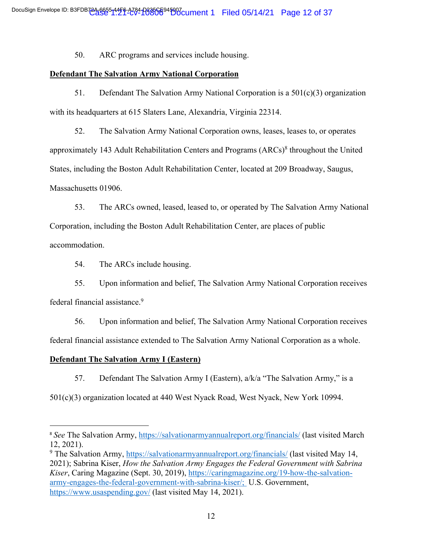50. ARC programs and services include housing.

# **Defendant The Salvation Army National Corporation**

51. Defendant The Salvation Army National Corporation is a  $501(c)(3)$  organization with its headquarters at 615 Slaters Lane, Alexandria, Virginia 22314.

52. The Salvation Army National Corporation owns, leases, leases to, or operates approximately 143 Adult Rehabilitation Centers and Programs (ARCs)8 throughout the United States, including the Boston Adult Rehabilitation Center, located at 209 Broadway, Saugus, Massachusetts 01906.

53. The ARCs owned, leased, leased to, or operated by The Salvation Army National Corporation, including the Boston Adult Rehabilitation Center, are places of public accommodation.

54. The ARCs include housing.

55. Upon information and belief, The Salvation Army National Corporation receives federal financial assistance. 9

56. Upon information and belief, The Salvation Army National Corporation receives federal financial assistance extended to The Salvation Army National Corporation as a whole.

# **Defendant The Salvation Army I (Eastern)**

57. Defendant The Salvation Army I (Eastern), a/k/a "The Salvation Army," is a

501(c)(3) organization located at 440 West Nyack Road, West Nyack, New York 10994.

<sup>&</sup>lt;sup>8</sup> See The Salvation Army, https://salvationarmyannualreport.org/financials/ (last visited March 12, 2021).

<sup>9</sup> The Salvation Army, https://salvationarmyannualreport.org/financials/ (last visited May 14, 2021); Sabrina Kiser, *How the Salvation Army Engages the Federal Government with Sabrina Kiser*, Caring Magazine (Sept. 30, 2019), https://caringmagazine.org/19-how-the-salvationarmy-engages-the-federal-government-with-sabrina-kiser/; U.S. Government, https://www.usaspending.gov/ (last visited May 14, 2021).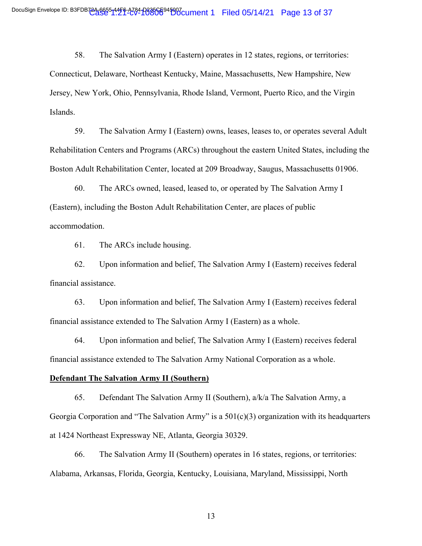58. The Salvation Army I (Eastern) operates in 12 states, regions, or territories: Connecticut, Delaware, Northeast Kentucky, Maine, Massachusetts, New Hampshire, New Jersey, New York, Ohio, Pennsylvania, Rhode Island, Vermont, Puerto Rico, and the Virgin Islands.

59. The Salvation Army I (Eastern) owns, leases, leases to, or operates several Adult Rehabilitation Centers and Programs (ARCs) throughout the eastern United States, including the Boston Adult Rehabilitation Center, located at 209 Broadway, Saugus, Massachusetts 01906.

60. The ARCs owned, leased, leased to, or operated by The Salvation Army I (Eastern), including the Boston Adult Rehabilitation Center, are places of public accommodation.

61. The ARCs include housing.

62. Upon information and belief, The Salvation Army I (Eastern) receives federal financial assistance.

63. Upon information and belief, The Salvation Army I (Eastern) receives federal financial assistance extended to The Salvation Army I (Eastern) as a whole.

64. Upon information and belief, The Salvation Army I (Eastern) receives federal financial assistance extended to The Salvation Army National Corporation as a whole.

#### **Defendant The Salvation Army II (Southern)**

65. Defendant The Salvation Army II (Southern), a/k/a The Salvation Army, a Georgia Corporation and "The Salvation Army" is a  $501(c)(3)$  organization with its headquarters at 1424 Northeast Expressway NE, Atlanta, Georgia 30329.

66. The Salvation Army II (Southern) operates in 16 states, regions, or territories: Alabama, Arkansas, Florida, Georgia, Kentucky, Louisiana, Maryland, Mississippi, North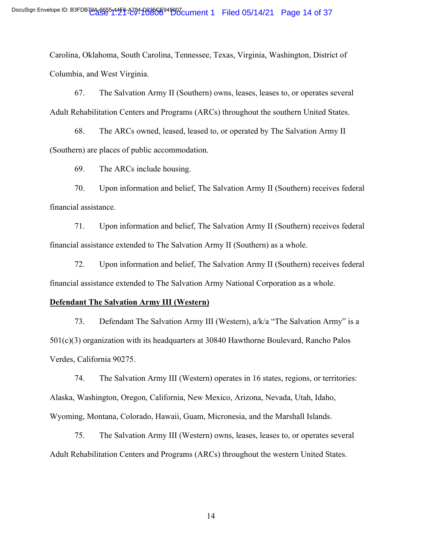Carolina, Oklahoma, South Carolina, Tennessee, Texas, Virginia, Washington, District of Columbia, and West Virginia.

67. The Salvation Army II (Southern) owns, leases, leases to, or operates several Adult Rehabilitation Centers and Programs (ARCs) throughout the southern United States.

68. The ARCs owned, leased, leased to, or operated by The Salvation Army II (Southern) are places of public accommodation.

69. The ARCs include housing.

70. Upon information and belief, The Salvation Army II (Southern) receives federal financial assistance.

71. Upon information and belief, The Salvation Army II (Southern) receives federal financial assistance extended to The Salvation Army II (Southern) as a whole.

72. Upon information and belief, The Salvation Army II (Southern) receives federal financial assistance extended to The Salvation Army National Corporation as a whole.

#### **Defendant The Salvation Army III (Western)**

73. Defendant The Salvation Army III (Western), a/k/a "The Salvation Army" is a 501(c)(3) organization with its headquarters at 30840 Hawthorne Boulevard, Rancho Palos Verdes, California 90275.

74. The Salvation Army III (Western) operates in 16 states, regions, or territories: Alaska, Washington, Oregon, California, New Mexico, Arizona, Nevada, Utah, Idaho, Wyoming, Montana, Colorado, Hawaii, Guam, Micronesia, and the Marshall Islands.

75. The Salvation Army III (Western) owns, leases, leases to, or operates several Adult Rehabilitation Centers and Programs (ARCs) throughout the western United States.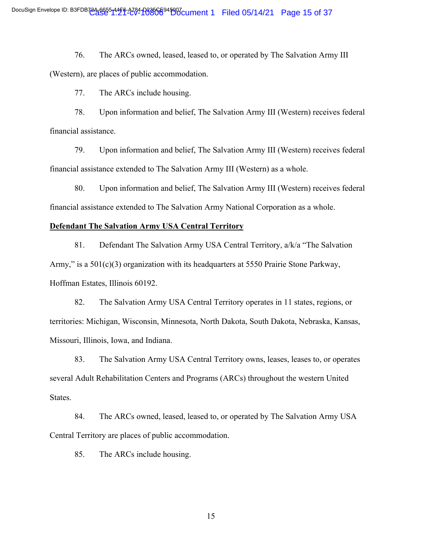76. The ARCs owned, leased, leased to, or operated by The Salvation Army III (Western), are places of public accommodation.

77. The ARCs include housing.

78. Upon information and belief, The Salvation Army III (Western) receives federal financial assistance.

79. Upon information and belief, The Salvation Army III (Western) receives federal financial assistance extended to The Salvation Army III (Western) as a whole.

80. Upon information and belief, The Salvation Army III (Western) receives federal financial assistance extended to The Salvation Army National Corporation as a whole.

#### **Defendant The Salvation Army USA Central Territory**

81. Defendant The Salvation Army USA Central Territory, a/k/a "The Salvation Army," is a 501(c)(3) organization with its headquarters at 5550 Prairie Stone Parkway, Hoffman Estates, Illinois 60192.

82. The Salvation Army USA Central Territory operates in 11 states, regions, or territories: Michigan, Wisconsin, Minnesota, North Dakota, South Dakota, Nebraska, Kansas, Missouri, Illinois, Iowa, and Indiana.

83. The Salvation Army USA Central Territory owns, leases, leases to, or operates several Adult Rehabilitation Centers and Programs (ARCs) throughout the western United States.

84. The ARCs owned, leased, leased to, or operated by The Salvation Army USA Central Territory are places of public accommodation.

85. The ARCs include housing.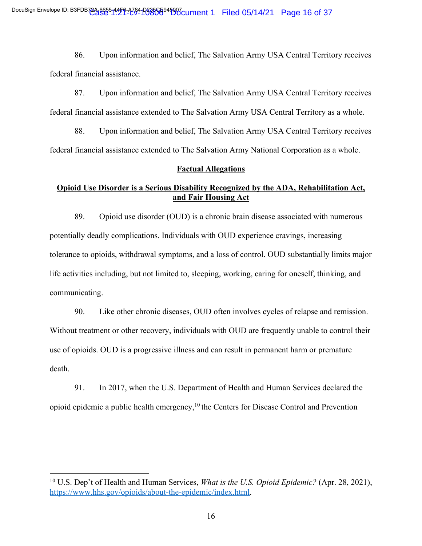86. Upon information and belief, The Salvation Army USA Central Territory receives federal financial assistance.

87. Upon information and belief, The Salvation Army USA Central Territory receives federal financial assistance extended to The Salvation Army USA Central Territory as a whole.

88. Upon information and belief, The Salvation Army USA Central Territory receives federal financial assistance extended to The Salvation Army National Corporation as a whole.

# **Factual Allegations**

# **Opioid Use Disorder is a Serious Disability Recognized by the ADA, Rehabilitation Act, and Fair Housing Act**

89. Opioid use disorder (OUD) is a chronic brain disease associated with numerous potentially deadly complications. Individuals with OUD experience cravings, increasing tolerance to opioids, withdrawal symptoms, and a loss of control. OUD substantially limits major life activities including, but not limited to, sleeping, working, caring for oneself, thinking, and communicating.

90. Like other chronic diseases, OUD often involves cycles of relapse and remission. Without treatment or other recovery, individuals with OUD are frequently unable to control their use of opioids. OUD is a progressive illness and can result in permanent harm or premature death.

91. In 2017, when the U.S. Department of Health and Human Services declared the opioid epidemic a public health emergency,10 the Centers for Disease Control and Prevention

<sup>10</sup> U.S. Dep't of Health and Human Services, *What is the U.S. Opioid Epidemic?* (Apr. 28, 2021), https://www.hhs.gov/opioids/about-the-epidemic/index.html.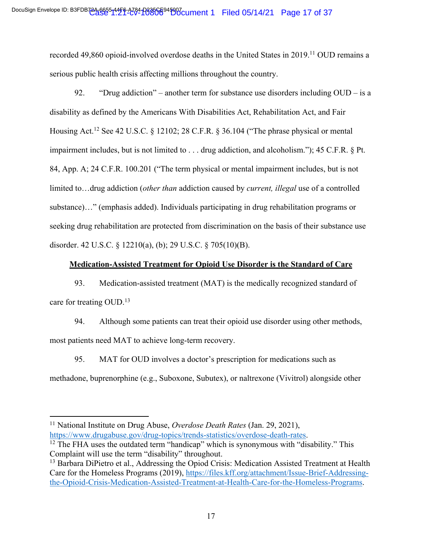recorded 49,860 opioid-involved overdose deaths in the United States in 2019.<sup>11</sup> OUD remains a serious public health crisis affecting millions throughout the country.

92. "Drug addiction" – another term for substance use disorders including  $\text{OUD} - \text{is a}$ disability as defined by the Americans With Disabilities Act, Rehabilitation Act, and Fair Housing Act.<sup>12</sup> See 42 U.S.C. § 12102; 28 C.F.R. § 36.104 ("The phrase physical or mental impairment includes, but is not limited to . . . drug addiction, and alcoholism."); 45 C.F.R. § Pt. 84, App. A; 24 C.F.R. 100.201 ("The term physical or mental impairment includes, but is not limited to…drug addiction (*other than* addiction caused by *current, illegal* use of a controlled substance)…" (emphasis added). Individuals participating in drug rehabilitation programs or seeking drug rehabilitation are protected from discrimination on the basis of their substance use disorder. 42 U.S.C. § 12210(a), (b); 29 U.S.C. § 705(10)(B).

# **Medication-Assisted Treatment for Opioid Use Disorder is the Standard of Care**

93. Medication-assisted treatment (MAT) is the medically recognized standard of care for treating OUD.13

94. Although some patients can treat their opioid use disorder using other methods, most patients need MAT to achieve long-term recovery.

95. MAT for OUD involves a doctor's prescription for medications such as methadone, buprenorphine (e.g., Suboxone, Subutex), or naltrexone (Vivitrol) alongside other

<sup>11</sup> National Institute on Drug Abuse, *Overdose Death Rates* (Jan. 29, 2021), https://www.drugabuse.gov/drug-topics/trends-statistics/overdose-death-rates. 12 The FHA uses the outdated term "handicap" which is synonymous with "disability." This

Complaint will use the term "disability" throughout.

<sup>&</sup>lt;sup>13</sup> Barbara DiPietro et al., Addressing the Opiod Crisis: Medication Assisted Treatment at Health Care for the Homeless Programs (2019), https://files.kff.org/attachment/Issue-Brief-Addressingthe-Opioid-Crisis-Medication-Assisted-Treatment-at-Health-Care-for-the-Homeless-Programs.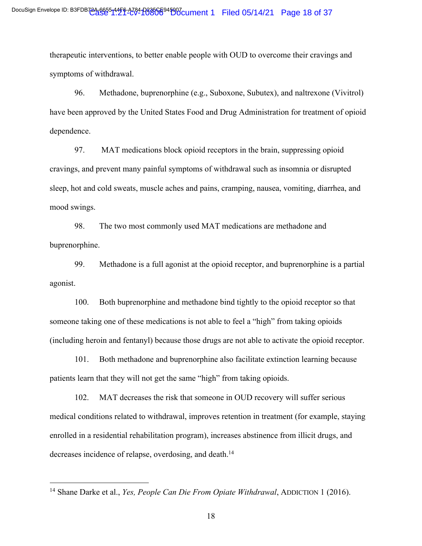therapeutic interventions, to better enable people with OUD to overcome their cravings and symptoms of withdrawal.

96. Methadone, buprenorphine (e.g., Suboxone, Subutex), and naltrexone (Vivitrol) have been approved by the United States Food and Drug Administration for treatment of opioid dependence.

97. MAT medications block opioid receptors in the brain, suppressing opioid cravings, and prevent many painful symptoms of withdrawal such as insomnia or disrupted sleep, hot and cold sweats, muscle aches and pains, cramping, nausea, vomiting, diarrhea, and mood swings.

98. The two most commonly used MAT medications are methadone and buprenorphine.

99. Methadone is a full agonist at the opioid receptor, and buprenorphine is a partial agonist.

100. Both buprenorphine and methadone bind tightly to the opioid receptor so that someone taking one of these medications is not able to feel a "high" from taking opioids (including heroin and fentanyl) because those drugs are not able to activate the opioid receptor.

101. Both methadone and buprenorphine also facilitate extinction learning because patients learn that they will not get the same "high" from taking opioids.

102. MAT decreases the risk that someone in OUD recovery will suffer serious medical conditions related to withdrawal, improves retention in treatment (for example, staying enrolled in a residential rehabilitation program), increases abstinence from illicit drugs, and decreases incidence of relapse, overdosing, and death.<sup>14</sup>

<sup>14</sup> Shane Darke et al., *Yes, People Can Die From Opiate Withdrawal*, ADDICTION 1 (2016).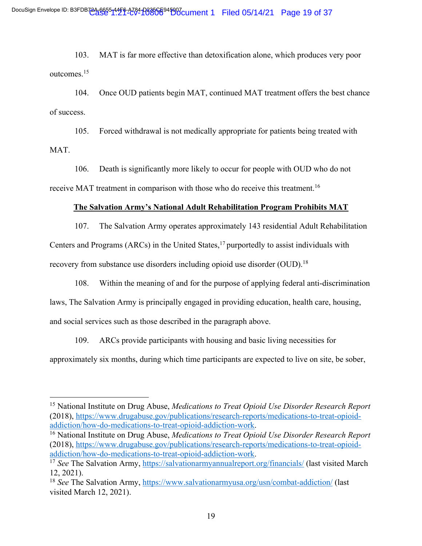103. MAT is far more effective than detoxification alone, which produces very poor outcomes.15

104. Once OUD patients begin MAT, continued MAT treatment offers the best chance of success.

105. Forced withdrawal is not medically appropriate for patients being treated with MAT.

106. Death is significantly more likely to occur for people with OUD who do not receive MAT treatment in comparison with those who do receive this treatment.<sup>16</sup>

# **The Salvation Army's National Adult Rehabilitation Program Prohibits MAT**

107. The Salvation Army operates approximately 143 residential Adult Rehabilitation Centers and Programs (ARCs) in the United States,  $17$  purportedly to assist individuals with recovery from substance use disorders including opioid use disorder (OUD).<sup>18</sup>

108. Within the meaning of and for the purpose of applying federal anti-discrimination laws, The Salvation Army is principally engaged in providing education, health care, housing, and social services such as those described in the paragraph above.

109. ARCs provide participants with housing and basic living necessities for approximately six months, during which time participants are expected to live on site, be sober,

<sup>15</sup> National Institute on Drug Abuse, *Medications to Treat Opioid Use Disorder Research Report* (2018), https://www.drugabuse.gov/publications/research-reports/medications-to-treat-opioidaddiction/how-do-medications-to-treat-opioid-addiction-work.

<sup>16</sup> National Institute on Drug Abuse, *Medications to Treat Opioid Use Disorder Research Report* (2018), https://www.drugabuse.gov/publications/research-reports/medications-to-treat-opioidaddiction/how-do-medications-to-treat-opioid-addiction-work. 17 *See* The Salvation Army, https://salvationarmyannualreport.org/financials/ (last visited March

<sup>12, 2021).</sup>

<sup>&</sup>lt;sup>18</sup> *See* The Salvation Army, https://www.salvationarmyusa.org/usn/combat-addiction/ (last visited March 12, 2021).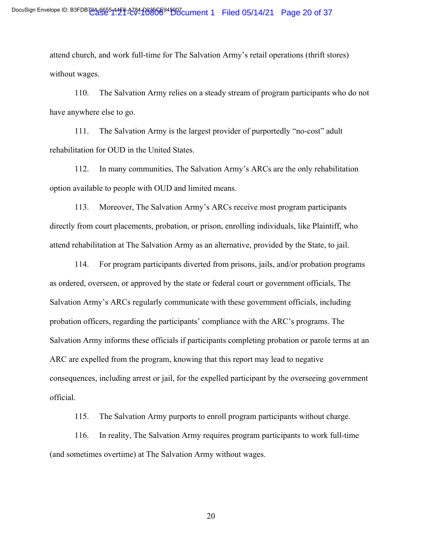attend church, and work full-time for The Salvation Army's retail operations (thrift stores) without wages.

110. The Salvation Army relies on a steady stream of program participants who do not have anywhere else to go.

111. The Salvation Army is the largest provider of purportedly "no-cost" adult rehabilitation for OUD in the United States.

112. In many communities, The Salvation Army's ARCs are the only rehabilitation option available to people with OUD and limited means.

113. Moreover, The Salvation Army's ARCs receive most program participants directly from court placements, probation, or prison, enrolling individuals, like Plaintiff, who attend rehabilitation at The Salvation Army as an alternative, provided by the State, to jail.

114. For program participants diverted from prisons, jails, and/or probation programs as ordered, overseen, or approved by the state or federal court or government officials, The Salvation Army's ARCs regularly communicate with these government officials, including probation officers, regarding the participants' compliance with the ARC's programs. The Salvation Army informs these officials if participants completing probation or parole terms at an ARC are expelled from the program, knowing that this report may lead to negative consequences, including arrest or jail, for the expelled participant by the overseeing government official.

115. The Salvation Army purports to enroll program participants without charge.

116. In reality, The Salvation Army requires program participants to work full-time (and sometimes overtime) at The Salvation Army without wages.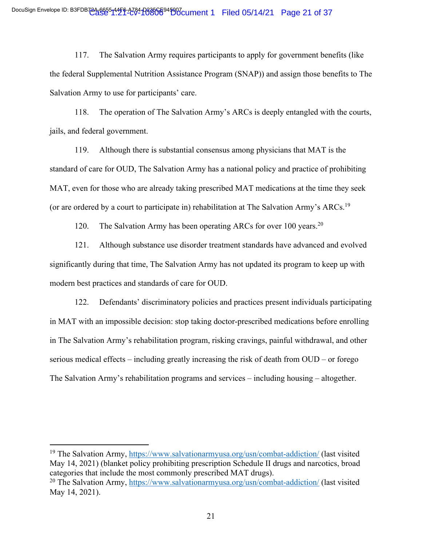117. The Salvation Army requires participants to apply for government benefits (like the federal Supplemental Nutrition Assistance Program (SNAP)) and assign those benefits to The Salvation Army to use for participants' care.

118. The operation of The Salvation Army's ARCs is deeply entangled with the courts, jails, and federal government.

119. Although there is substantial consensus among physicians that MAT is the standard of care for OUD, The Salvation Army has a national policy and practice of prohibiting MAT, even for those who are already taking prescribed MAT medications at the time they seek (or are ordered by a court to participate in) rehabilitation at The Salvation Army's ARCs.19

120. The Salvation Army has been operating ARCs for over 100 years.<sup>20</sup>

121. Although substance use disorder treatment standards have advanced and evolved significantly during that time, The Salvation Army has not updated its program to keep up with modern best practices and standards of care for OUD.

122. Defendants' discriminatory policies and practices present individuals participating in MAT with an impossible decision: stop taking doctor-prescribed medications before enrolling in The Salvation Army's rehabilitation program, risking cravings, painful withdrawal, and other serious medical effects – including greatly increasing the risk of death from OUD – or forego The Salvation Army's rehabilitation programs and services – including housing – altogether.

<sup>&</sup>lt;sup>19</sup> The Salvation Army, https://www.salvationarmyusa.org/usn/combat-addiction/ (last visited May 14, 2021) (blanket policy prohibiting prescription Schedule II drugs and narcotics, broad categories that include the most commonly prescribed MAT drugs). <sup>20</sup> The Salvation Army, https://www.salvationarmyusa.org/usn/combat-addiction/ (last visited May 14, 2021).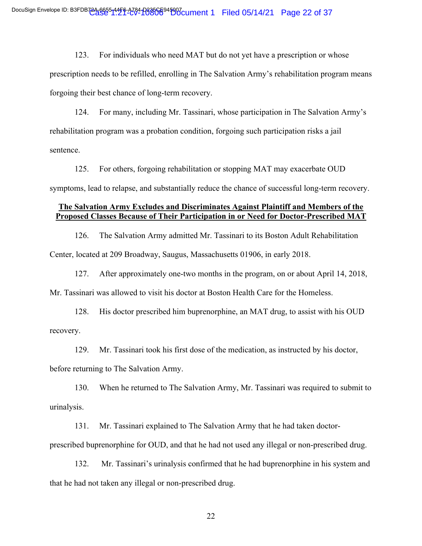123. For individuals who need MAT but do not yet have a prescription or whose prescription needs to be refilled, enrolling in The Salvation Army's rehabilitation program means forgoing their best chance of long-term recovery.

124. For many, including Mr. Tassinari, whose participation in The Salvation Army's rehabilitation program was a probation condition, forgoing such participation risks a jail sentence.

125. For others, forgoing rehabilitation or stopping MAT may exacerbate OUD symptoms, lead to relapse, and substantially reduce the chance of successful long-term recovery.

# **The Salvation Army Excludes and Discriminates Against Plaintiff and Members of the Proposed Classes Because of Their Participation in or Need for Doctor-Prescribed MAT**

126. The Salvation Army admitted Mr. Tassinari to its Boston Adult Rehabilitation Center, located at 209 Broadway, Saugus, Massachusetts 01906, in early 2018.

127. After approximately one-two months in the program, on or about April 14, 2018, Mr. Tassinari was allowed to visit his doctor at Boston Health Care for the Homeless.

128. His doctor prescribed him buprenorphine, an MAT drug, to assist with his OUD recovery.

129. Mr. Tassinari took his first dose of the medication, as instructed by his doctor, before returning to The Salvation Army.

130. When he returned to The Salvation Army, Mr. Tassinari was required to submit to urinalysis.

131. Mr. Tassinari explained to The Salvation Army that he had taken doctorprescribed buprenorphine for OUD, and that he had not used any illegal or non-prescribed drug.

132. Mr. Tassinari's urinalysis confirmed that he had buprenorphine in his system and that he had not taken any illegal or non-prescribed drug.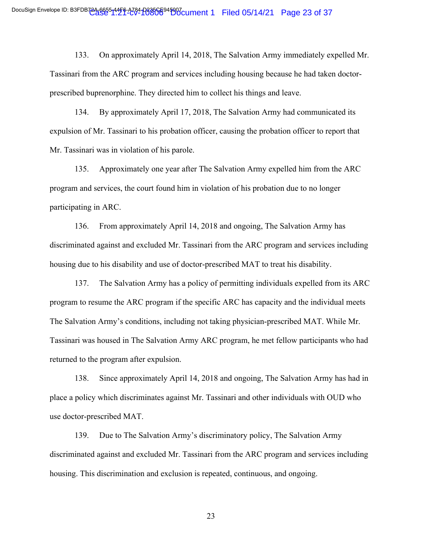133. On approximately April 14, 2018, The Salvation Army immediately expelled Mr. Tassinari from the ARC program and services including housing because he had taken doctorprescribed buprenorphine. They directed him to collect his things and leave.

134. By approximately April 17, 2018, The Salvation Army had communicated its expulsion of Mr. Tassinari to his probation officer, causing the probation officer to report that Mr. Tassinari was in violation of his parole.

135. Approximately one year after The Salvation Army expelled him from the ARC program and services, the court found him in violation of his probation due to no longer participating in ARC.

136. From approximately April 14, 2018 and ongoing, The Salvation Army has discriminated against and excluded Mr. Tassinari from the ARC program and services including housing due to his disability and use of doctor-prescribed MAT to treat his disability.

137. The Salvation Army has a policy of permitting individuals expelled from its ARC program to resume the ARC program if the specific ARC has capacity and the individual meets The Salvation Army's conditions, including not taking physician-prescribed MAT. While Mr. Tassinari was housed in The Salvation Army ARC program, he met fellow participants who had returned to the program after expulsion.

138. Since approximately April 14, 2018 and ongoing, The Salvation Army has had in place a policy which discriminates against Mr. Tassinari and other individuals with OUD who use doctor-prescribed MAT.

139. Due to The Salvation Army's discriminatory policy, The Salvation Army discriminated against and excluded Mr. Tassinari from the ARC program and services including housing. This discrimination and exclusion is repeated, continuous, and ongoing.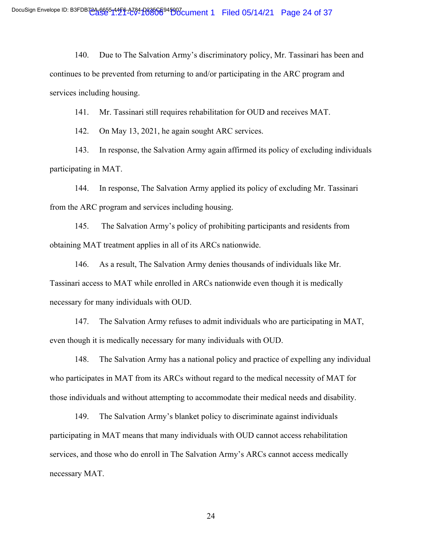140. Due to The Salvation Army's discriminatory policy, Mr. Tassinari has been and continues to be prevented from returning to and/or participating in the ARC program and services including housing.

141. Mr. Tassinari still requires rehabilitation for OUD and receives MAT.

142. On May 13, 2021, he again sought ARC services.

143. In response, the Salvation Army again affirmed its policy of excluding individuals participating in MAT.

144. In response, The Salvation Army applied its policy of excluding Mr. Tassinari from the ARC program and services including housing.

145. The Salvation Army's policy of prohibiting participants and residents from obtaining MAT treatment applies in all of its ARCs nationwide.

146. As a result, The Salvation Army denies thousands of individuals like Mr. Tassinari access to MAT while enrolled in ARCs nationwide even though it is medically necessary for many individuals with OUD.

147. The Salvation Army refuses to admit individuals who are participating in MAT, even though it is medically necessary for many individuals with OUD.

148. The Salvation Army has a national policy and practice of expelling any individual who participates in MAT from its ARCs without regard to the medical necessity of MAT for those individuals and without attempting to accommodate their medical needs and disability.

149. The Salvation Army's blanket policy to discriminate against individuals participating in MAT means that many individuals with OUD cannot access rehabilitation services, and those who do enroll in The Salvation Army's ARCs cannot access medically necessary MAT.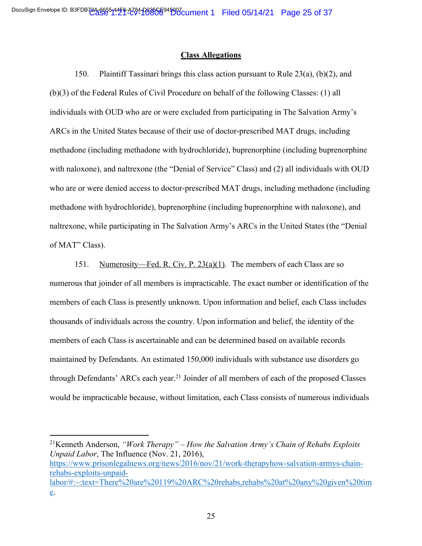#### **Class Allegations**

150. Plaintiff Tassinari brings this class action pursuant to Rule 23(a), (b)(2), and (b)(3) of the Federal Rules of Civil Procedure on behalf of the following Classes: (1) all individuals with OUD who are or were excluded from participating in The Salvation Army's ARCs in the United States because of their use of doctor-prescribed MAT drugs, including methadone (including methadone with hydrochloride), buprenorphine (including buprenorphine with naloxone), and naltrexone (the "Denial of Service" Class) and (2) all individuals with OUD who are or were denied access to doctor-prescribed MAT drugs, including methadone (including methadone with hydrochloride), buprenorphine (including buprenorphine with naloxone), and naltrexone, while participating in The Salvation Army's ARCs in the United States (the "Denial of MAT" Class).

151. Numerosity—Fed. R. Civ. P. 23(a)(1). The members of each Class are so numerous that joinder of all members is impracticable. The exact number or identification of the members of each Class is presently unknown. Upon information and belief, each Class includes thousands of individuals across the country. Upon information and belief, the identity of the members of each Class is ascertainable and can be determined based on available records maintained by Defendants. An estimated 150,000 individuals with substance use disorders go through Defendants' ARCs each year.<sup>21</sup> Joinder of all members of each of the proposed Classes would be impracticable because, without limitation, each Class consists of numerous individuals

<sup>21</sup>Kenneth Anderson, *"Work Therapy" – How the Salvation Army's Chain of Rehabs Exploits Unpaid Labor*, The Influence (Nov. 21, 2016), https://www.prisonlegalnews.org/news/2016/nov/21/work-therapyhow-salvation-armys-chainrehabs-exploits-unpaidlabor/#:~:text=There%20are%20119%20ARC%20rehabs,rehabs%20at%20any%20given%20tim e.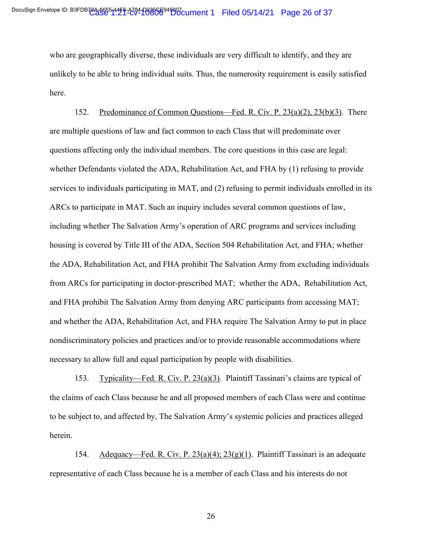who are geographically diverse, these individuals are very difficult to identify, and they are unlikely to be able to bring individual suits. Thus, the numerosity requirement is easily satisfied here.

152. Predominance of Common Questions—Fed. R. Civ. P. 23(a)(2), 23(b)(3). There are multiple questions of law and fact common to each Class that will predominate over questions affecting only the individual members. The core questions in this case are legal: whether Defendants violated the ADA, Rehabilitation Act, and FHA by (1) refusing to provide services to individuals participating in MAT, and (2) refusing to permit individuals enrolled in its ARCs to participate in MAT. Such an inquiry includes several common questions of law, including whether The Salvation Army's operation of ARC programs and services including housing is covered by Title III of the ADA, Section 504 Rehabilitation Act, and FHA; whether the ADA, Rehabilitation Act, and FHA prohibit The Salvation Army from excluding individuals from ARCs for participating in doctor-prescribed MAT; whether the ADA, Rehabilitation Act, and FHA prohibit The Salvation Army from denying ARC participants from accessing MAT; and whether the ADA, Rehabilitation Act, and FHA require The Salvation Army to put in place nondiscriminatory policies and practices and/or to provide reasonable accommodations where necessary to allow full and equal participation by people with disabilities.

153. Typicality—Fed. R. Civ. P. 23(a)(3). Plaintiff Tassinari's claims are typical of the claims of each Class because he and all proposed members of each Class were and continue to be subject to, and affected by, The Salvation Army's systemic policies and practices alleged herein.

154. Adequacy—Fed. R. Civ. P.  $23(a)(4)$ ;  $23(g)(1)$ . Plaintiff Tassinari is an adequate representative of each Class because he is a member of each Class and his interests do not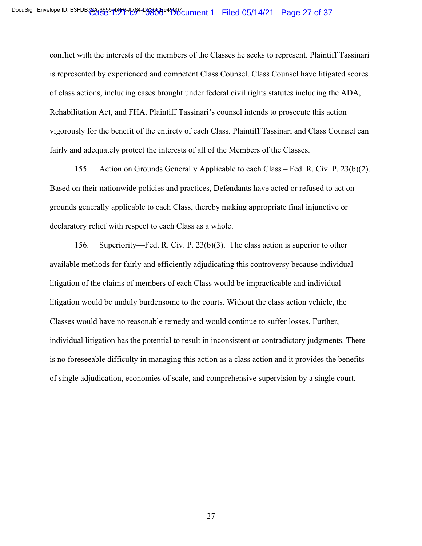conflict with the interests of the members of the Classes he seeks to represent. Plaintiff Tassinari is represented by experienced and competent Class Counsel. Class Counsel have litigated scores of class actions, including cases brought under federal civil rights statutes including the ADA, Rehabilitation Act, and FHA. Plaintiff Tassinari's counsel intends to prosecute this action vigorously for the benefit of the entirety of each Class. Plaintiff Tassinari and Class Counsel can fairly and adequately protect the interests of all of the Members of the Classes.

155. Action on Grounds Generally Applicable to each Class – Fed. R. Civ. P. 23(b)(2). Based on their nationwide policies and practices, Defendants have acted or refused to act on grounds generally applicable to each Class, thereby making appropriate final injunctive or declaratory relief with respect to each Class as a whole.

156. Superiority—Fed. R. Civ. P. 23(b)(3). The class action is superior to other available methods for fairly and efficiently adjudicating this controversy because individual litigation of the claims of members of each Class would be impracticable and individual litigation would be unduly burdensome to the courts. Without the class action vehicle, the Classes would have no reasonable remedy and would continue to suffer losses. Further, individual litigation has the potential to result in inconsistent or contradictory judgments. There is no foreseeable difficulty in managing this action as a class action and it provides the benefits of single adjudication, economies of scale, and comprehensive supervision by a single court.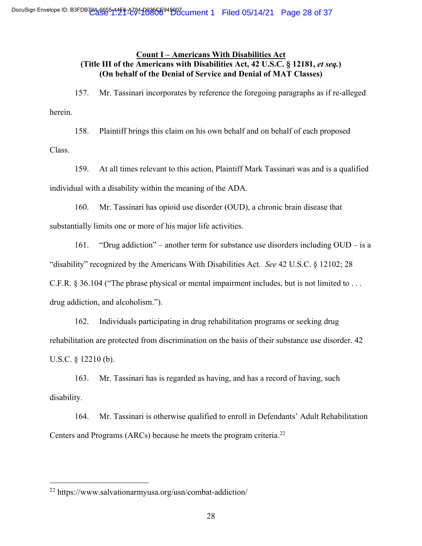# **Count I – Americans With Disabilities Act (Title III of the Americans with Disabilities Act, 42 U.S.C. § 12181,** *et seq.***) (On behalf of the Denial of Service and Denial of MAT Classes)**

157. Mr. Tassinari incorporates by reference the foregoing paragraphs as if re-alleged herein.

158. Plaintiff brings this claim on his own behalf and on behalf of each proposed Class.

159. At all times relevant to this action, Plaintiff Mark Tassinari was and is a qualified individual with a disability within the meaning of the ADA.

160. Mr. Tassinari has opioid use disorder (OUD), a chronic brain disease that substantially limits one or more of his major life activities.

161. "Drug addiction" – another term for substance use disorders including OUD – is a "disability" recognized by the Americans With Disabilities Act. *See* 42 U.S.C. § 12102; 28 C.F.R. § 36.104 ("The phrase physical or mental impairment includes, but is not limited to . . . drug addiction, and alcoholism.").

162. Individuals participating in drug rehabilitation programs or seeking drug rehabilitation are protected from discrimination on the basis of their substance use disorder. 42 U.S.C. § 12210 (b).

163. Mr. Tassinari has is regarded as having, and has a record of having, such disability.

164. Mr. Tassinari is otherwise qualified to enroll in Defendants' Adult Rehabilitation Centers and Programs (ARCs) because he meets the program criteria. 22

<sup>22</sup> https://www.salvationarmyusa.org/usn/combat-addiction/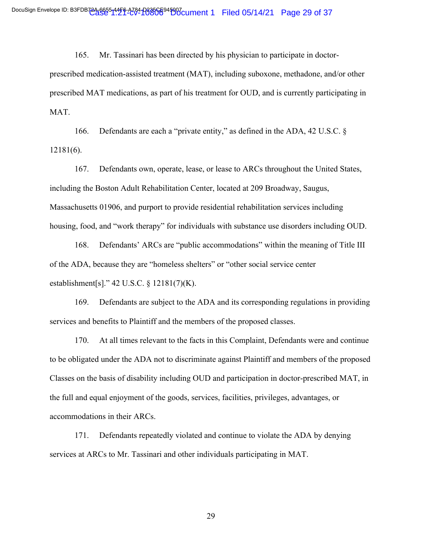165. Mr. Tassinari has been directed by his physician to participate in doctor-

prescribed medication-assisted treatment (MAT), including suboxone, methadone, and/or other prescribed MAT medications, as part of his treatment for OUD, and is currently participating in MAT.

166. Defendants are each a "private entity," as defined in the ADA, 42 U.S.C. § 12181(6).

167. Defendants own, operate, lease, or lease to ARCs throughout the United States, including the Boston Adult Rehabilitation Center, located at 209 Broadway, Saugus, Massachusetts 01906, and purport to provide residential rehabilitation services including housing, food, and "work therapy" for individuals with substance use disorders including OUD.

168. Defendants' ARCs are "public accommodations" within the meaning of Title III of the ADA, because they are "homeless shelters" or "other social service center establishment[s]." 42 U.S.C. § 12181(7)(K).

169. Defendants are subject to the ADA and its corresponding regulations in providing services and benefits to Plaintiff and the members of the proposed classes.

170. At all times relevant to the facts in this Complaint, Defendants were and continue to be obligated under the ADA not to discriminate against Plaintiff and members of the proposed Classes on the basis of disability including OUD and participation in doctor-prescribed MAT, in the full and equal enjoyment of the goods, services, facilities, privileges, advantages, or accommodations in their ARCs.

171. Defendants repeatedly violated and continue to violate the ADA by denying services at ARCs to Mr. Tassinari and other individuals participating in MAT.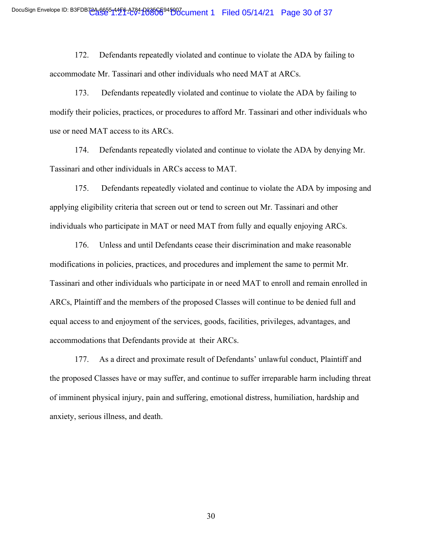172. Defendants repeatedly violated and continue to violate the ADA by failing to accommodate Mr. Tassinari and other individuals who need MAT at ARCs.

173. Defendants repeatedly violated and continue to violate the ADA by failing to modify their policies, practices, or procedures to afford Mr. Tassinari and other individuals who use or need MAT access to its ARCs.

174. Defendants repeatedly violated and continue to violate the ADA by denying Mr. Tassinari and other individuals in ARCs access to MAT.

175. Defendants repeatedly violated and continue to violate the ADA by imposing and applying eligibility criteria that screen out or tend to screen out Mr. Tassinari and other individuals who participate in MAT or need MAT from fully and equally enjoying ARCs.

176. Unless and until Defendants cease their discrimination and make reasonable modifications in policies, practices, and procedures and implement the same to permit Mr. Tassinari and other individuals who participate in or need MAT to enroll and remain enrolled in ARCs, Plaintiff and the members of the proposed Classes will continue to be denied full and equal access to and enjoyment of the services, goods, facilities, privileges, advantages, and accommodations that Defendants provide at their ARCs.

177. As a direct and proximate result of Defendants' unlawful conduct, Plaintiff and the proposed Classes have or may suffer, and continue to suffer irreparable harm including threat of imminent physical injury, pain and suffering, emotional distress, humiliation, hardship and anxiety, serious illness, and death.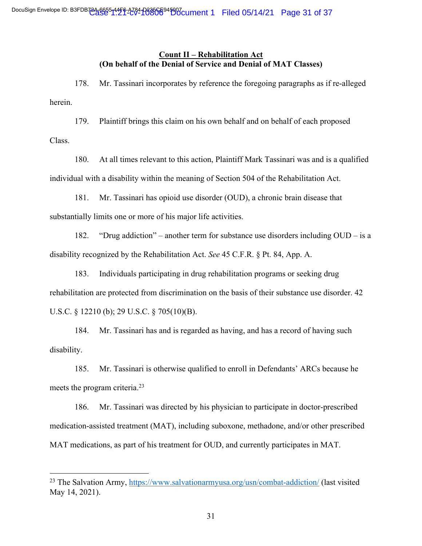# **Count II – Rehabilitation Act (On behalf of the Denial of Service and Denial of MAT Classes)**

178. Mr. Tassinari incorporates by reference the foregoing paragraphs as if re-alleged herein.

179. Plaintiff brings this claim on his own behalf and on behalf of each proposed

Class.

180. At all times relevant to this action, Plaintiff Mark Tassinari was and is a qualified individual with a disability within the meaning of Section 504 of the Rehabilitation Act.

181. Mr. Tassinari has opioid use disorder (OUD), a chronic brain disease that substantially limits one or more of his major life activities.

182. "Drug addiction" – another term for substance use disorders including OUD – is a disability recognized by the Rehabilitation Act. *See* 45 C.F.R. § Pt. 84, App. A.

183. Individuals participating in drug rehabilitation programs or seeking drug rehabilitation are protected from discrimination on the basis of their substance use disorder. 42 U.S.C. § 12210 (b); 29 U.S.C. § 705(10)(B).

184. Mr. Tassinari has and is regarded as having, and has a record of having such disability.

185. Mr. Tassinari is otherwise qualified to enroll in Defendants' ARCs because he meets the program criteria.23

186. Mr. Tassinari was directed by his physician to participate in doctor-prescribed medication-assisted treatment (MAT), including suboxone, methadone, and/or other prescribed MAT medications, as part of his treatment for OUD, and currently participates in MAT.

<sup>&</sup>lt;sup>23</sup> The Salvation Army, https://www.salvationarmyusa.org/usn/combat-addiction/ (last visited May 14, 2021).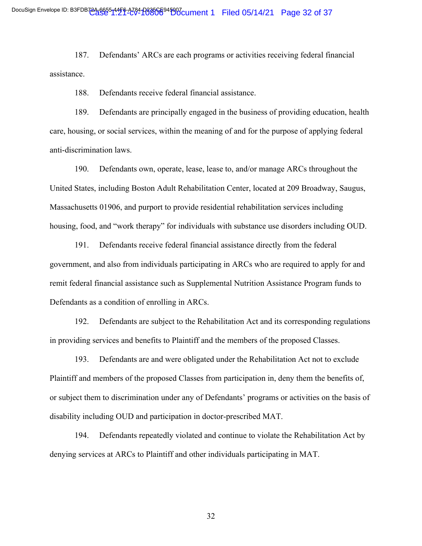187. Defendants' ARCs are each programs or activities receiving federal financial assistance.

188. Defendants receive federal financial assistance.

189. Defendants are principally engaged in the business of providing education, health care, housing, or social services, within the meaning of and for the purpose of applying federal anti-discrimination laws.

190. Defendants own, operate, lease, lease to, and/or manage ARCs throughout the United States, including Boston Adult Rehabilitation Center, located at 209 Broadway, Saugus, Massachusetts 01906, and purport to provide residential rehabilitation services including housing, food, and "work therapy" for individuals with substance use disorders including OUD.

191. Defendants receive federal financial assistance directly from the federal government, and also from individuals participating in ARCs who are required to apply for and remit federal financial assistance such as Supplemental Nutrition Assistance Program funds to Defendants as a condition of enrolling in ARCs.

192. Defendants are subject to the Rehabilitation Act and its corresponding regulations in providing services and benefits to Plaintiff and the members of the proposed Classes.

193. Defendants are and were obligated under the Rehabilitation Act not to exclude Plaintiff and members of the proposed Classes from participation in, deny them the benefits of, or subject them to discrimination under any of Defendants' programs or activities on the basis of disability including OUD and participation in doctor-prescribed MAT.

194. Defendants repeatedly violated and continue to violate the Rehabilitation Act by denying services at ARCs to Plaintiff and other individuals participating in MAT.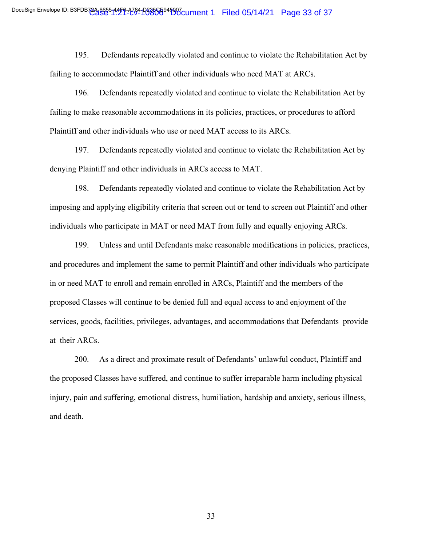195. Defendants repeatedly violated and continue to violate the Rehabilitation Act by failing to accommodate Plaintiff and other individuals who need MAT at ARCs.

196. Defendants repeatedly violated and continue to violate the Rehabilitation Act by failing to make reasonable accommodations in its policies, practices, or procedures to afford Plaintiff and other individuals who use or need MAT access to its ARCs.

197. Defendants repeatedly violated and continue to violate the Rehabilitation Act by denying Plaintiff and other individuals in ARCs access to MAT.

198. Defendants repeatedly violated and continue to violate the Rehabilitation Act by imposing and applying eligibility criteria that screen out or tend to screen out Plaintiff and other individuals who participate in MAT or need MAT from fully and equally enjoying ARCs.

199. Unless and until Defendants make reasonable modifications in policies, practices, and procedures and implement the same to permit Plaintiff and other individuals who participate in or need MAT to enroll and remain enrolled in ARCs, Plaintiff and the members of the proposed Classes will continue to be denied full and equal access to and enjoyment of the services, goods, facilities, privileges, advantages, and accommodations that Defendants provide at their ARCs.

200. As a direct and proximate result of Defendants' unlawful conduct, Plaintiff and the proposed Classes have suffered, and continue to suffer irreparable harm including physical injury, pain and suffering, emotional distress, humiliation, hardship and anxiety, serious illness, and death.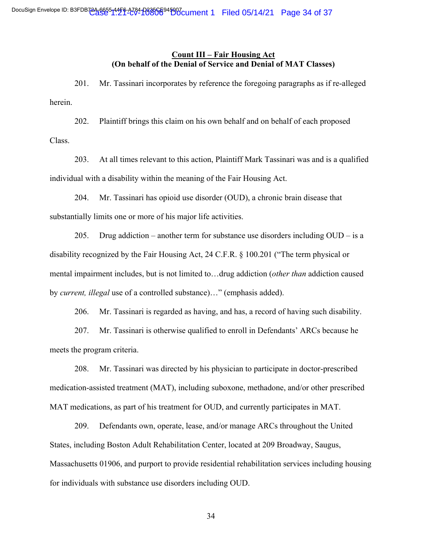# **Count III – Fair Housing Act (On behalf of the Denial of Service and Denial of MAT Classes)**

201. Mr. Tassinari incorporates by reference the foregoing paragraphs as if re-alleged herein.

202. Plaintiff brings this claim on his own behalf and on behalf of each proposed Class.

203. At all times relevant to this action, Plaintiff Mark Tassinari was and is a qualified individual with a disability within the meaning of the Fair Housing Act.

204. Mr. Tassinari has opioid use disorder (OUD), a chronic brain disease that substantially limits one or more of his major life activities.

205. Drug addiction – another term for substance use disorders including  $OUD - is a$ disability recognized by the Fair Housing Act, 24 C.F.R. § 100.201 ("The term physical or mental impairment includes, but is not limited to…drug addiction (*other than* addiction caused by *current, illegal* use of a controlled substance)…" (emphasis added).

206. Mr. Tassinari is regarded as having, and has, a record of having such disability.

207. Mr. Tassinari is otherwise qualified to enroll in Defendants' ARCs because he meets the program criteria.

208. Mr. Tassinari was directed by his physician to participate in doctor-prescribed medication-assisted treatment (MAT), including suboxone, methadone, and/or other prescribed MAT medications, as part of his treatment for OUD, and currently participates in MAT.

209. Defendants own, operate, lease, and/or manage ARCs throughout the United States, including Boston Adult Rehabilitation Center, located at 209 Broadway, Saugus, Massachusetts 01906, and purport to provide residential rehabilitation services including housing for individuals with substance use disorders including OUD.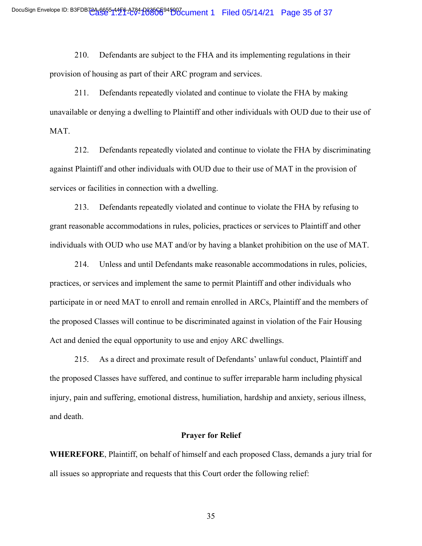210. Defendants are subject to the FHA and its implementing regulations in their provision of housing as part of their ARC program and services.

211. Defendants repeatedly violated and continue to violate the FHA by making unavailable or denying a dwelling to Plaintiff and other individuals with OUD due to their use of MAT.

212. Defendants repeatedly violated and continue to violate the FHA by discriminating against Plaintiff and other individuals with OUD due to their use of MAT in the provision of services or facilities in connection with a dwelling.

213. Defendants repeatedly violated and continue to violate the FHA by refusing to grant reasonable accommodations in rules, policies, practices or services to Plaintiff and other individuals with OUD who use MAT and/or by having a blanket prohibition on the use of MAT.

214. Unless and until Defendants make reasonable accommodations in rules, policies, practices, or services and implement the same to permit Plaintiff and other individuals who participate in or need MAT to enroll and remain enrolled in ARCs, Plaintiff and the members of the proposed Classes will continue to be discriminated against in violation of the Fair Housing Act and denied the equal opportunity to use and enjoy ARC dwellings.

215. As a direct and proximate result of Defendants' unlawful conduct, Plaintiff and the proposed Classes have suffered, and continue to suffer irreparable harm including physical injury, pain and suffering, emotional distress, humiliation, hardship and anxiety, serious illness, and death.

#### **Prayer for Relief**

**WHEREFORE**, Plaintiff, on behalf of himself and each proposed Class, demands a jury trial for all issues so appropriate and requests that this Court order the following relief: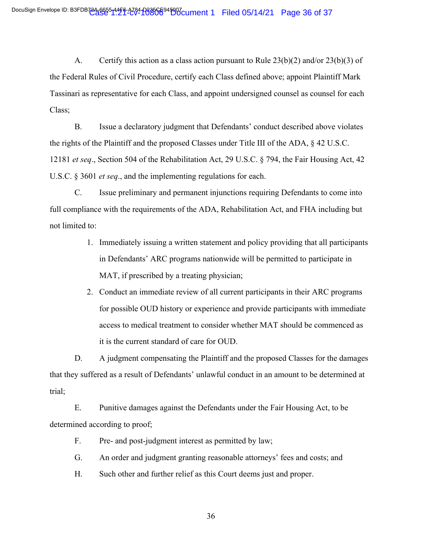A. Certify this action as a class action pursuant to Rule 23(b)(2) and/or 23(b)(3) of the Federal Rules of Civil Procedure, certify each Class defined above; appoint Plaintiff Mark Tassinari as representative for each Class, and appoint undersigned counsel as counsel for each Class;

B. Issue a declaratory judgment that Defendants' conduct described above violates the rights of the Plaintiff and the proposed Classes under Title III of the ADA, § 42 U.S.C. 12181 *et seq*., Section 504 of the Rehabilitation Act, 29 U.S.C. § 794, the Fair Housing Act, 42 U.S.C. § 3601 *et seq*., and the implementing regulations for each.

C. Issue preliminary and permanent injunctions requiring Defendants to come into full compliance with the requirements of the ADA, Rehabilitation Act, and FHA including but not limited to:

- 1. Immediately issuing a written statement and policy providing that all participants in Defendants' ARC programs nationwide will be permitted to participate in MAT, if prescribed by a treating physician;
- 2. Conduct an immediate review of all current participants in their ARC programs for possible OUD history or experience and provide participants with immediate access to medical treatment to consider whether MAT should be commenced as it is the current standard of care for OUD.

D. A judgment compensating the Plaintiff and the proposed Classes for the damages that they suffered as a result of Defendants' unlawful conduct in an amount to be determined at trial;

E. Punitive damages against the Defendants under the Fair Housing Act, to be determined according to proof;

F. Pre- and post-judgment interest as permitted by law;

- G. An order and judgment granting reasonable attorneys' fees and costs; and
- H. Such other and further relief as this Court deems just and proper.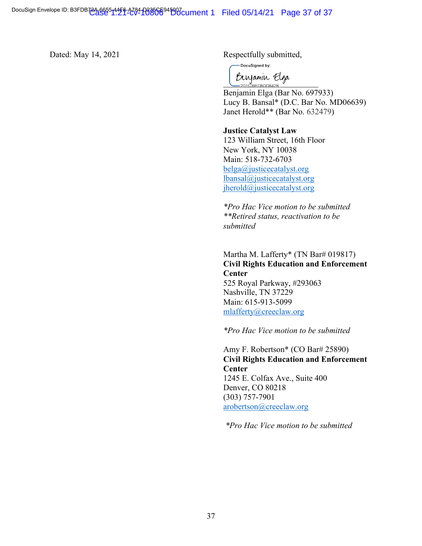Dated: May 14, 2021 Respectfully submitted,

DocuSigned by:

Bergamin Elga

Benjamin Elga (Bar No. 697933) Lucy B. Bansal\* (D.C. Bar No. MD06639) Janet Herold\*\* (Bar No. 632479)

#### **Justice Catalyst Law**

123 William Street, 16th Floor New York, NY 10038 Main: 518-732-6703 belga@justicecatalyst.org lbansal@justicecatalyst.org jherold@justicecatalyst.org

*\*Pro Hac Vice motion to be submitted \*\*Retired status, reactivation to be submitted*

# Martha M. Lafferty\* (TN Bar# 019817) **Civil Rights Education and Enforcement Center** 525 Royal Parkway, #293063 Nashville, TN 37229 Main: 615-913-5099 mlafferty@creeclaw.org

*\*Pro Hac Vice motion to be submitted*

Amy F. Robertson\* (CO Bar# 25890) **Civil Rights Education and Enforcement Center** 1245 E. Colfax Ave., Suite 400 Denver, CO 80218 (303) 757-7901 arobertson@creeclaw.org

*\*Pro Hac Vice motion to be submitted*